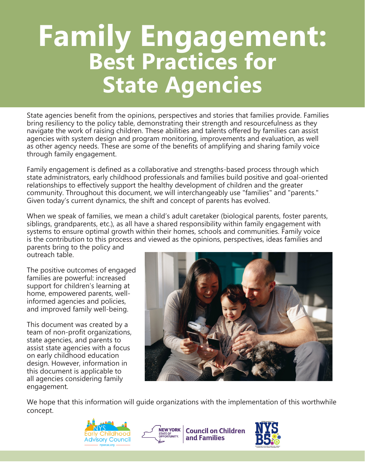# **Family Engagement: Best Practices for State Agencies**

State agencies benefit from the opinions, perspectives and stories that families provide. Families bring resiliency to the policy table, demonstrating their strength and resourcefulness as they navigate the work of raising children. These abilities and talents offered by families can assist agencies with system design and program monitoring, improvements and evaluation, as well as other agency needs. These are some of the benefits of amplifying and sharing family voice through family engagement.

Family engagement is defined as a collaborative and strengths-based process through which state administrators, early childhood professionals and families build positive and goal-oriented relationships to effectively support the healthy development of children and the greater community. Throughout this document, we will interchangeably use "families" and "parents." Given today's current dynamics, the shift and concept of parents has evolved.

When we speak of families, we mean a child's adult caretaker (biological parents, foster parents, siblings, grandparents, etc.), as all have a shared responsibility within family engagement with systems to ensure optimal growth within their homes, schools and communities. Family voice is the contribution to this process and viewed as the opinions, perspectives, ideas families and

parents bring to the policy and outreach table.

The positive outcomes of engaged families are powerful: increased support for children's learning at home, empowered parents, wellinformed agencies and policies, and improved family well-being.

This document was created by a team of non-profit organizations, state agencies, and parents to assist state agencies with a focus on early childhood education design. However, information in this document is applicable to all agencies considering family engagement.



We hope that this information will guide organizations with the implementation of this worthwhile concept.





NEWYORK | Council on Children and Families

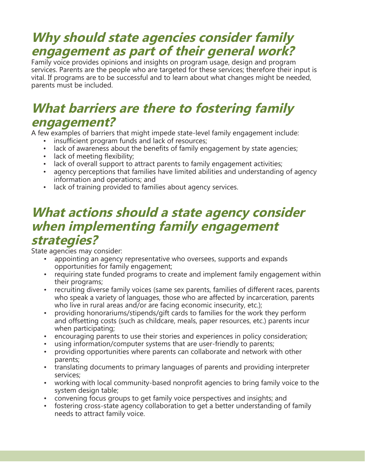## **Why should state agencies consider family engagement as part of their general work?**

Family voice provides opinions and insights on program usage, design and program services. Parents are the people who are targeted for these services; therefore their input is vital. If programs are to be successful and to learn about what changes might be needed, parents must be included.

## **What barriers are there to fostering family engagement?**

A few examples of barriers that might impede state-level family engagement include:

- insufficient program funds and lack of resources;
- lack of awareness about the benefits of family engagement by state agencies;
- lack of meeting flexibility;
- lack of overall support to attract parents to family engagement activities;
- agency perceptions that families have limited abilities and understanding of agency information and operations; and
- lack of training provided to families about agency services.

#### **What actions should a state agency consider when implementing family engagement strategies?**

State agencies may consider:

- appointing an agency representative who oversees, supports and expands opportunities for family engagement;
- requiring state funded programs to create and implement family engagement within their programs;
- recruiting diverse family voices (same sex parents, families of different races, parents who speak a variety of languages, those who are affected by incarceration, parents who live in rural areas and/or are facing economic insecurity, etc.);
- providing honorariums/stipends/gift cards to families for the work they perform and offsetting costs (such as childcare, meals, paper resources, etc.) parents incur when participating;
- encouraging parents to use their stories and experiences in policy consideration;
- using information/computer systems that are user-friendly to parents;
- providing opportunities where parents can collaborate and network with other parents;
- translating documents to primary languages of parents and providing interpreter services;
- working with local community-based nonprofit agencies to bring family voice to the system design table;
- convening focus groups to get family voice perspectives and insights; and
- fostering cross-state agency collaboration to get a better understanding of family needs to attract family voice.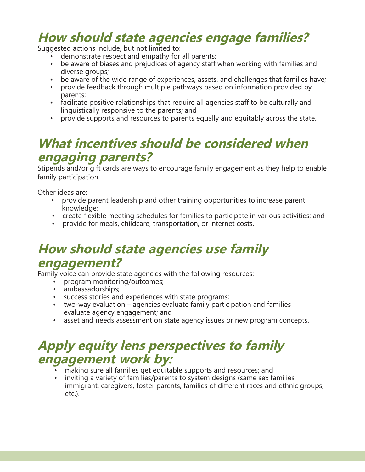## **How should state agencies engage families?**

Suggested actions include, but not limited to:

- demonstrate respect and empathy for all parents;
- be aware of biases and prejudices of agency staff when working with families and diverse groups;
- be aware of the wide range of experiences, assets, and challenges that families have;
- provide feedback through multiple pathways based on information provided by parents;
- facilitate positive relationships that require all agencies staff to be culturally and linguistically responsive to the parents; and
- provide supports and resources to parents equally and equitably across the state.

## **What incentives should be considered when engaging parents?**

Stipends and/or gift cards are ways to encourage family engagement as they help to enable family participation.

Other ideas are:

- provide parent leadership and other training opportunities to increase parent knowledge;
- create flexible meeting schedules for families to participate in various activities; and
- provide for meals, childcare, transportation, or internet costs.

## **How should state agencies use family engagement?**

Family voice can provide state agencies with the following resources:

- program monitoring/outcomes;
- ambassadorships;
- success stories and experiences with state programs;
- two-way evaluation agencies evaluate family participation and families evaluate agency engagement; and
- asset and needs assessment on state agency issues or new program concepts.

## **Apply equity lens perspectives to family engagement work by:**

- making sure all families get equitable supports and resources; and
- inviting a variety of families/parents to system designs (same sex families, immigrant, caregivers, foster parents, families of different races and ethnic groups, etc.).